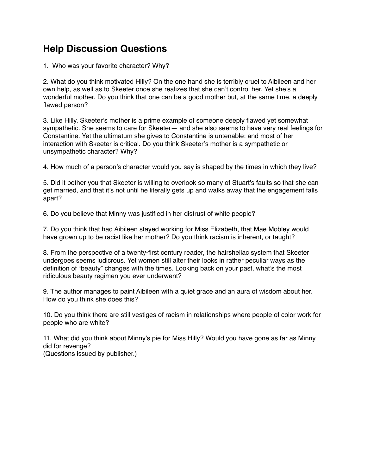## **Help Discussion Questions**

1. Who was your favorite character? Why?

 2. What do you think motivated Hilly? On the one hand she is terribly cruel to Aibileen and her own help, as well as to Skeeter once she realizes that she can't control her. Yet she's a wonderful mother. Do you think that one can be a good mother but, at the same time, a deeply flawed person?

 3. Like Hilly, Skeeter's mother is a prime example of someone deeply flawed yet somewhat sympathetic. She seems to care for Skeeter— and she also seems to have very real feelings for Constantine. Yet the ultimatum she gives to Constantine is untenable; and most of her interaction with Skeeter is critical. Do you think Skeeter's mother is a sympathetic or unsympathetic character? Why?

4. How much of a person's character would you say is shaped by the times in which they live?

 5. Did it bother you that Skeeter is willing to overlook so many of Stuart's faults so that she can get married, and that it's not until he literally gets up and walks away that the engagement falls apart?

6. Do you believe that Minny was justified in her distrust of white people?

 7. Do you think that had Aibileen stayed working for Miss Elizabeth, that Mae Mobley would have grown up to be racist like her mother? Do you think racism is inherent, or taught?

 8. From the perspective of a twenty-first century reader, the hairshellac system that Skeeter undergoes seems ludicrous. Yet women still alter their looks in rather peculiar ways as the definition of "beauty" changes with the times. Looking back on your past, what's the most ridiculous beauty regimen you ever underwent?

 9. The author manages to paint Aibileen with a quiet grace and an aura of wisdom about her. How do you think she does this?

 10. Do you think there are still vestiges of racism in relationships where people of color work for people who are white?

 11. What did you think about Minny's pie for Miss Hilly? Would you have gone as far as Minny did for revenge? (Questions issued by publisher.)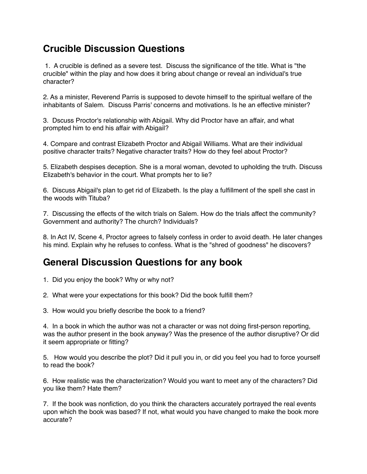## **Crucible Discussion Questions**

 1. A crucible is defined as a severe test. Discuss the significance of the title. What is "the crucible" within the play and how does it bring about change or reveal an individual's true character?

 2. As a minister, Reverend Parris is supposed to devote himself to the spiritual welfare of the inhabitants of Salem. Discuss Parris' concerns and motivations. Is he an effective minister?

 3. Dscuss Proctor's relationship with Abigail. Why did Proctor have an affair, and what prompted him to end his affair with Abigail?

 4. Compare and contrast Elizabeth Proctor and Abigail Williams. What are their individual positive character traits? Negative character traits? How do they feel about Proctor?

 5. Elizabeth despises deception. She is a moral woman, devoted to upholding the truth. Discuss Elizabeth's behavior in the court. What prompts her to lie?

 6. Discuss Abigail's plan to get rid of Elizabeth. Is the play a fulfillment of the spell she cast in the woods with Tituba?

 7. Discussing the effects of the witch trials on Salem. How do the trials affect the community? Government and authority? The church? Individuals?

 8. In Act IV, Scene 4, Proctor agrees to falsely confess in order to avoid death. He later changes his mind. Explain why he refuses to confess. What is the "shred of goodness" he discovers?

## **General Discussion Questions for any book**

- 1. Did you enjoy the book? Why or why not?
- 2. What were your expectations for this book? Did the book fulfill them?
- 3. How would you briefly describe the book to a friend?

 4. In a book in which the author was not a character or was not doing first-person reporting, was the author present in the book anyway? Was the presence of the author disruptive? Or did it seem appropriate or fitting?

 5. How would you describe the plot? Did it pull you in, or did you feel you had to force yourself to read the book?

 6. How realistic was the characterization? Would you want to meet any of the characters? Did you like them? Hate them?

 7. If the book was nonfiction, do you think the characters accurately portrayed the real events upon which the book was based? If not, what would you have changed to make the book more accurate?